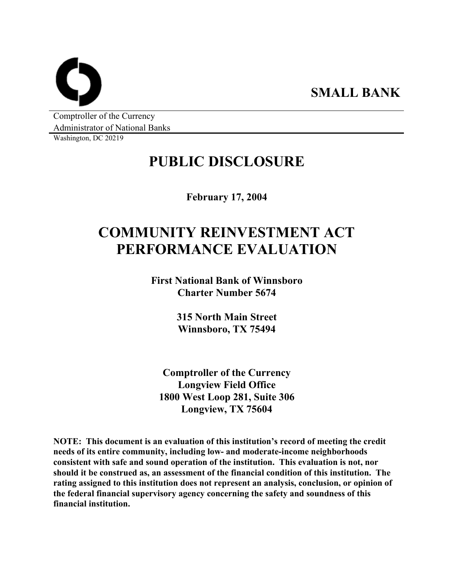**SMALL BANK** 

Comptroller of the Currency Administrator of National Banks

Washington, DC 20219

# **PUBLIC DISCLOSURE**

**February 17, 2004** 

# **COMMUNITY REINVESTMENT ACT PERFORMANCE EVALUATION**

**First National Bank of Winnsboro Charter Number 5674** 

> **315 North Main Street Winnsboro, TX 75494**

**Comptroller of the Currency Longview Field Office 1800 West Loop 281, Suite 306 Longview, TX 75604** 

**NOTE: This document is an evaluation of this institution's record of meeting the credit needs of its entire community, including low- and moderate-income neighborhoods consistent with safe and sound operation of the institution. This evaluation is not, nor should it be construed as, an assessment of the financial condition of this institution. The rating assigned to this institution does not represent an analysis, conclusion, or opinion of the federal financial supervisory agency concerning the safety and soundness of this financial institution.**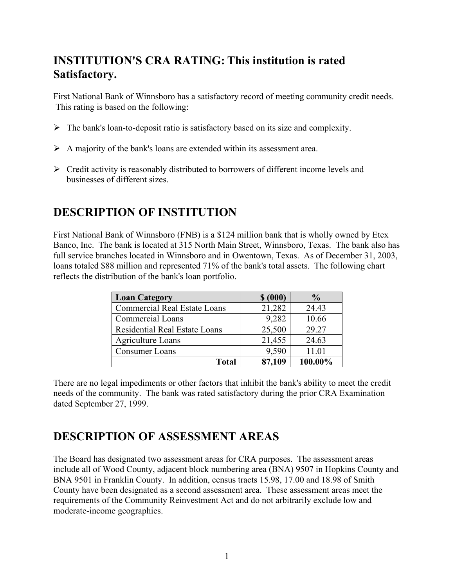## **INSTITUTION'S CRA RATING: This institution is rated Satisfactory.**

First National Bank of Winnsboro has a satisfactory record of meeting community credit needs. This rating is based on the following:

- $\triangleright$  The bank's loan-to-deposit ratio is satisfactory based on its size and complexity.
- $\triangleright$  A majority of the bank's loans are extended within its assessment area.
- $\triangleright$  Credit activity is reasonably distributed to borrowers of different income levels and businesses of different sizes.

## **DESCRIPTION OF INSTITUTION**

First National Bank of Winnsboro (FNB) is a \$124 million bank that is wholly owned by Etex Banco, Inc. The bank is located at 315 North Main Street, Winnsboro, Texas. The bank also has full service branches located in Winnsboro and in Owentown, Texas. As of December 31, 2003, loans totaled \$88 million and represented 71% of the bank's total assets. The following chart reflects the distribution of the bank's loan portfolio.

| <b>Loan Category</b>                 | \$ (000) | $\frac{0}{0}$ |
|--------------------------------------|----------|---------------|
| <b>Commercial Real Estate Loans</b>  | 21,282   | 24.43         |
| <b>Commercial Loans</b>              | 9,282    | 10.66         |
| <b>Residential Real Estate Loans</b> | 25,500   | 29.27         |
| <b>Agriculture Loans</b>             | 21,455   | 24.63         |
| <b>Consumer Loans</b>                | 9,590    | 11.01         |
| Total                                | 87,109   | 100.00%       |

There are no legal impediments or other factors that inhibit the bank's ability to meet the credit needs of the community. The bank was rated satisfactory during the prior CRA Examination dated September 27, 1999.

## **DESCRIPTION OF ASSESSMENT AREAS**

The Board has designated two assessment areas for CRA purposes. The assessment areas include all of Wood County, adjacent block numbering area (BNA) 9507 in Hopkins County and BNA 9501 in Franklin County. In addition, census tracts 15.98, 17.00 and 18.98 of Smith County have been designated as a second assessment area. These assessment areas meet the requirements of the Community Reinvestment Act and do not arbitrarily exclude low and moderate-income geographies.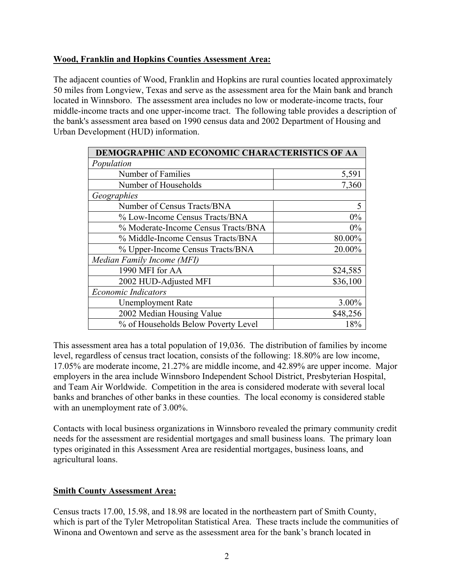## **Wood, Franklin and Hopkins Counties Assessment Area:**

The adjacent counties of Wood, Franklin and Hopkins are rural counties located approximately 50 miles from Longview, Texas and serve as the assessment area for the Main bank and branch located in Winnsboro. The assessment area includes no low or moderate-income tracts, four middle-income tracts and one upper-income tract. The following table provides a description of the bank's assessment area based on 1990 census data and 2002 Department of Housing and Urban Development (HUD) information.

| DEMOGRAPHIC AND ECONOMIC CHARACTERISTICS OF AA |          |  |  |  |  |
|------------------------------------------------|----------|--|--|--|--|
| Population                                     |          |  |  |  |  |
| Number of Families                             | 5,591    |  |  |  |  |
| Number of Households                           | 7,360    |  |  |  |  |
| Geographies                                    |          |  |  |  |  |
| Number of Census Tracts/BNA                    | 5        |  |  |  |  |
| % Low-Income Census Tracts/BNA                 | 0%       |  |  |  |  |
| % Moderate-Income Census Tracts/BNA            | $0\%$    |  |  |  |  |
| % Middle-Income Census Tracts/BNA              | 80.00%   |  |  |  |  |
| % Upper-Income Census Tracts/BNA               | 20.00%   |  |  |  |  |
| Median Family Income (MFI)                     |          |  |  |  |  |
| 1990 MFI for AA                                | \$24,585 |  |  |  |  |
| 2002 HUD-Adjusted MFI                          | \$36,100 |  |  |  |  |
| <b>Economic Indicators</b>                     |          |  |  |  |  |
| <b>Unemployment Rate</b>                       | 3.00%    |  |  |  |  |
| 2002 Median Housing Value                      | \$48,256 |  |  |  |  |
| % of Households Below Poverty Level            | 18%      |  |  |  |  |

This assessment area has a total population of 19,036. The distribution of families by income level, regardless of census tract location, consists of the following: 18.80% are low income, 17.05% are moderate income, 21.27% are middle income, and 42.89% are upper income. Major employers in the area include Winnsboro Independent School District, Presbyterian Hospital, and Team Air Worldwide. Competition in the area is considered moderate with several local banks and branches of other banks in these counties. The local economy is considered stable with an unemployment rate of 3.00%.

Contacts with local business organizations in Winnsboro revealed the primary community credit needs for the assessment are residential mortgages and small business loans. The primary loan types originated in this Assessment Area are residential mortgages, business loans, and agricultural loans.

## **Smith County Assessment Area:**

Census tracts 17.00, 15.98, and 18.98 are located in the northeastern part of Smith County, which is part of the Tyler Metropolitan Statistical Area. These tracts include the communities of Winona and Owentown and serve as the assessment area for the bank's branch located in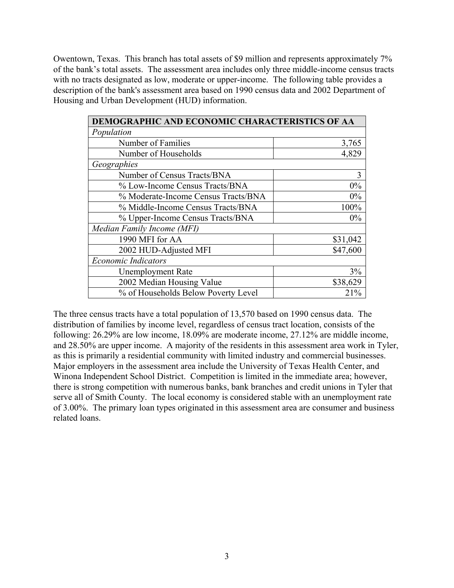Owentown, Texas. This branch has total assets of \$9 million and represents approximately 7% of the bank's total assets. The assessment area includes only three middle-income census tracts with no tracts designated as low, moderate or upper-income. The following table provides a description of the bank's assessment area based on 1990 census data and 2002 Department of Housing and Urban Development (HUD) information.

| DEMOGRAPHIC AND ECONOMIC CHARACTERISTICS OF AA |          |  |  |  |  |
|------------------------------------------------|----------|--|--|--|--|
| Population                                     |          |  |  |  |  |
| Number of Families                             | 3,765    |  |  |  |  |
| Number of Households                           | 4,829    |  |  |  |  |
| Geographies                                    |          |  |  |  |  |
| Number of Census Tracts/BNA                    | 3        |  |  |  |  |
| % Low-Income Census Tracts/BNA                 | 0%       |  |  |  |  |
| % Moderate-Income Census Tracts/BNA            | 0%       |  |  |  |  |
| % Middle-Income Census Tracts/BNA              | 100%     |  |  |  |  |
| % Upper-Income Census Tracts/BNA               | $0\%$    |  |  |  |  |
| Median Family Income (MFI)                     |          |  |  |  |  |
| 1990 MFI for AA                                | \$31,042 |  |  |  |  |
| 2002 HUD-Adjusted MFI                          | \$47,600 |  |  |  |  |
| <b>Economic Indicators</b>                     |          |  |  |  |  |
| <b>Unemployment Rate</b>                       | 3%       |  |  |  |  |
| 2002 Median Housing Value                      | \$38,629 |  |  |  |  |
| % of Households Below Poverty Level            | 21%      |  |  |  |  |

The three census tracts have a total population of 13,570 based on 1990 census data. The distribution of families by income level, regardless of census tract location, consists of the following: 26.29% are low income, 18.09% are moderate income, 27.12% are middle income, and 28.50% are upper income. A majority of the residents in this assessment area work in Tyler, as this is primarily a residential community with limited industry and commercial businesses. Major employers in the assessment area include the University of Texas Health Center, and Winona Independent School District. Competition is limited in the immediate area; however, there is strong competition with numerous banks, bank branches and credit unions in Tyler that serve all of Smith County. The local economy is considered stable with an unemployment rate of 3.00%. The primary loan types originated in this assessment area are consumer and business related loans.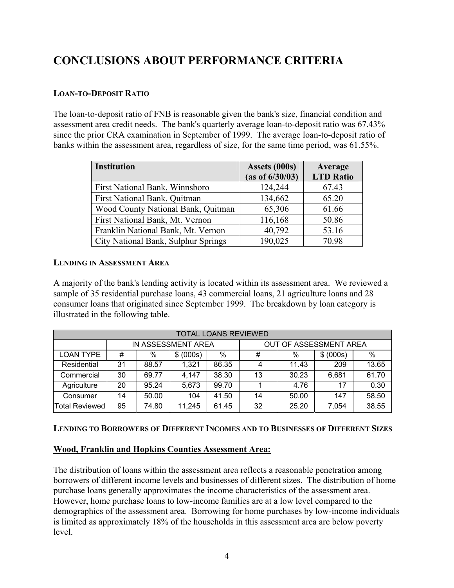## **CONCLUSIONS ABOUT PERFORMANCE CRITERIA**

## **LOAN-TO-DEPOSIT RATIO**

The loan-to-deposit ratio of FNB is reasonable given the bank's size, financial condition and assessment area credit needs. The bank's quarterly average loan-to-deposit ratio was 67.43% since the prior CRA examination in September of 1999. The average loan-to-deposit ratio of banks within the assessment area, regardless of size, for the same time period, was 61.55%.

| <b>Institution</b>                  | Assets (000s)   | Average          |
|-------------------------------------|-----------------|------------------|
|                                     | (as of 6/30/03) | <b>LTD</b> Ratio |
| First National Bank, Winnsboro      | 124,244         | 67.43            |
| First National Bank, Quitman        | 134,662         | 65.20            |
| Wood County National Bank, Quitman  | 65,306          | 61.66            |
| First National Bank, Mt. Vernon     | 116,168         | 50.86            |
| Franklin National Bank, Mt. Vernon  | 40,792          | 53.16            |
| City National Bank, Sulphur Springs | 190,025         | 70.98            |

## **LENDING IN ASSESSMENT AREA**

A majority of the bank's lending activity is located within its assessment area. We reviewed a sample of 35 residential purchase loans, 43 commercial loans, 21 agriculture loans and 28 consumer loans that originated since September 1999. The breakdown by loan category is illustrated in the following table.

| <b>TOTAL LOANS REVIEWED</b> |                    |       |           |       |                               |       |           |       |
|-----------------------------|--------------------|-------|-----------|-------|-------------------------------|-------|-----------|-------|
|                             | IN ASSESSMENT AREA |       |           |       | <b>OUT OF ASSESSMENT AREA</b> |       |           |       |
| <b>LOAN TYPE</b>            | #                  | $\%$  | \$ (000s) | $\%$  | #                             | %     | \$ (000s) | %     |
| Residential                 | 31                 | 88.57 | 1.321     | 86.35 | 4                             | 11.43 | 209       | 13.65 |
| Commercial                  | 30                 | 69.77 | 4,147     | 38.30 | 13                            | 30.23 | 6.681     | 61.70 |
| Agriculture                 | 20                 | 95.24 | 5,673     | 99.70 |                               | 4.76  | 17        | 0.30  |
| Consumer                    | 14                 | 50.00 | 104       | 41.50 | 14                            | 50.00 | 147       | 58.50 |
| Total Reviewed              | 95                 | 74.80 | 11,245    | 61.45 | 32                            | 25.20 | 7,054     | 38.55 |

## **LENDING TO BORROWERS OF DIFFERENT INCOMES AND TO BUSINESSES OF DIFFERENT SIZES**

## **Wood, Franklin and Hopkins Counties Assessment Area:**

The distribution of loans within the assessment area reflects a reasonable penetration among borrowers of different income levels and businesses of different sizes. The distribution of home purchase loans generally approximates the income characteristics of the assessment area. However, home purchase loans to low-income families are at a low level compared to the demographics of the assessment area. Borrowing for home purchases by low-income individuals is limited as approximately 18% of the households in this assessment area are below poverty level.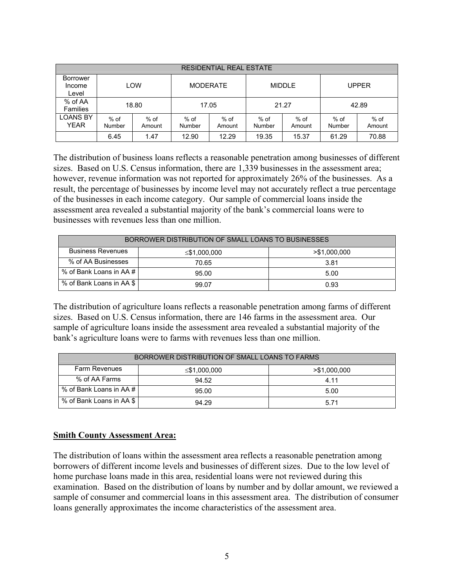| <b>RESIDENTIAL REAL ESTATE</b> |                  |                  |                 |                |                |                |                |                  |
|--------------------------------|------------------|------------------|-----------------|----------------|----------------|----------------|----------------|------------------|
| Borrower<br>Income<br>Level    |                  | LOW              | <b>MODERATE</b> |                | <b>MIDDLE</b>  |                | <b>UPPER</b>   |                  |
| % of AA<br><b>Families</b>     |                  | 18.80            | 17.05           |                | 21.27          |                | 42.89          |                  |
| <b>LOANS BY</b><br><b>YEAR</b> | $%$ of<br>Number | $%$ of<br>Amount | % of<br>Number  | % of<br>Amount | % of<br>Number | % of<br>Amount | % of<br>Number | $%$ of<br>Amount |
|                                | 6.45             | 1.47             | 12.90           | 12.29          | 19.35          | 15.37          | 61.29          | 70.88            |

The distribution of business loans reflects a reasonable penetration among businesses of different sizes. Based on U.S. Census information, there are 1,339 businesses in the assessment area; however, revenue information was not reported for approximately 26% of the businesses. As a result, the percentage of businesses by income level may not accurately reflect a true percentage of the businesses in each income category. Our sample of commercial loans inside the assessment area revealed a substantial majority of the bank's commercial loans were to businesses with revenues less than one million.

| BORROWER DISTRIBUTION OF SMALL LOANS TO BUSINESSES |              |                 |  |  |  |
|----------------------------------------------------|--------------|-----------------|--|--|--|
| <b>Business Revenues</b>                           | ≤\$1,000,000 | $>$ \$1,000,000 |  |  |  |
| % of AA Businesses                                 | 70.65        | 3.81            |  |  |  |
| % of Bank Loans in AA#                             | 95.00        | 5.00            |  |  |  |
| % of Bank Loans in AA \$                           | 99.07        | 0.93            |  |  |  |

The distribution of agriculture loans reflects a reasonable penetration among farms of different sizes. Based on U.S. Census information, there are 146 farms in the assessment area. Our sample of agriculture loans inside the assessment area revealed a substantial majority of the bank's agriculture loans were to farms with revenues less than one million.

| BORROWER DISTRIBUTION OF SMALL LOANS TO FARMS |              |                 |  |  |  |
|-----------------------------------------------|--------------|-----------------|--|--|--|
| <b>Farm Revenues</b>                          | ≤\$1,000,000 | $>$ \$1,000,000 |  |  |  |
| % of AA Farms                                 | 94.52        | 4.11            |  |  |  |
| % of Bank Loans in AA #                       | 95.00        | 5.00            |  |  |  |
| % of Bank Loans in AA \$                      | 94.29        | 5.71            |  |  |  |

### **Smith County Assessment Area:**

The distribution of loans within the assessment area reflects a reasonable penetration among borrowers of different income levels and businesses of different sizes. Due to the low level of home purchase loans made in this area, residential loans were not reviewed during this examination. Based on the distribution of loans by number and by dollar amount, we reviewed a sample of consumer and commercial loans in this assessment area. The distribution of consumer loans generally approximates the income characteristics of the assessment area.